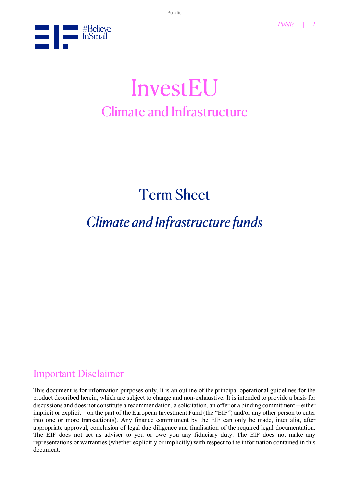

# InvestEU **Climate and Infrastructure**

**Term Sheet** 

## **Climate and Infrastructure funds**

## Important Disclaimer

This document is for information purposes only. It is an outline of the principal operational guidelines for the product described herein, which are subject to change and non-exhaustive. It is intended to provide a basis for discussions and does not constitute a recommendation, a solicitation, an offer or a binding commitment – either implicit or explicit – on the part of the European Investment Fund (the "EIF") and/or any other person to enter into one or more transaction(s). Any finance commitment by the EIF can only be made, inter alia, after appropriate approval, conclusion of legal due diligence and finalisation of the required legal documentation. The EIF does not act as adviser to you or owe you any fiduciary duty. The EIF does not make any representations or warranties (whether explicitly or implicitly) with respect to the information contained in this document.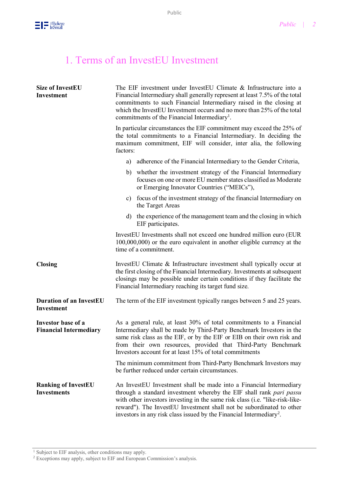

## 1. Terms of an InvestEU Investment

| <b>Size of InvestEU</b><br>Investment               | The EIF investment under InvestEU Climate & Infrastructure into a<br>Financial Intermediary shall generally represent at least 7.5% of the total<br>commitments to such Financial Intermediary raised in the closing at<br>which the InvestEU Investment occurs and no more than 25% of the total<br>commitments of the Financial Intermediary <sup>1</sup> .                        |  |
|-----------------------------------------------------|--------------------------------------------------------------------------------------------------------------------------------------------------------------------------------------------------------------------------------------------------------------------------------------------------------------------------------------------------------------------------------------|--|
|                                                     | In particular circumstances the EIF commitment may exceed the 25% of<br>the total commitments to a Financial Intermediary. In deciding the<br>maximum commitment, EIF will consider, inter alia, the following<br>factors:                                                                                                                                                           |  |
|                                                     | a) adherence of the Financial Intermediary to the Gender Criteria,                                                                                                                                                                                                                                                                                                                   |  |
|                                                     | b) whether the investment strategy of the Financial Intermediary<br>focuses on one or more EU member states classified as Moderate<br>or Emerging Innovator Countries ("MEICs"),                                                                                                                                                                                                     |  |
|                                                     | c) focus of the investment strategy of the financial Intermediary on<br>the Target Areas                                                                                                                                                                                                                                                                                             |  |
|                                                     | d) the experience of the management team and the closing in which<br>EIF participates.                                                                                                                                                                                                                                                                                               |  |
|                                                     | InvestEU Investments shall not exceed one hundred million euro (EUR<br>100,000,000) or the euro equivalent in another eligible currency at the<br>time of a commitment.                                                                                                                                                                                                              |  |
| <b>Closing</b>                                      | InvestEU Climate & Infrastructure investment shall typically occur at<br>the first closing of the Financial Intermediary. Investments at subsequent<br>closings may be possible under certain conditions if they facilitate the<br>Financial Intermediary reaching its target fund size.                                                                                             |  |
| <b>Duration of an InvestEU</b><br><b>Investment</b> | The term of the EIF investment typically ranges between 5 and 25 years.                                                                                                                                                                                                                                                                                                              |  |
| Investor base of a<br><b>Financial Intermediary</b> | As a general rule, at least 30% of total commitments to a Financial<br>Intermediary shall be made by Third-Party Benchmark Investors in the<br>same risk class as the EIF, or by the EIF or EIB on their own risk and<br>from their own resources, provided that Third-Party Benchmark<br>Investors account for at least 15% of total commitments                                    |  |
|                                                     | The minimum commitment from Third-Party Benchmark Investors may<br>be further reduced under certain circumstances.                                                                                                                                                                                                                                                                   |  |
| <b>Ranking of InvestEU</b><br><b>Investments</b>    | An InvestEU Investment shall be made into a Financial Intermediary<br>through a standard investment whereby the EIF shall rank pari passu<br>with other investors investing in the same risk class (i.e. "like-risk-like-<br>reward"). The InvestEU Investment shall not be subordinated to other<br>investors in any risk class issued by the Financial Intermediary <sup>2</sup> . |  |

<sup>1</sup> Subject to EIF analysis, other conditions may apply.

 $2$  Exceptions may apply, subject to EIF and European Commission's analysis.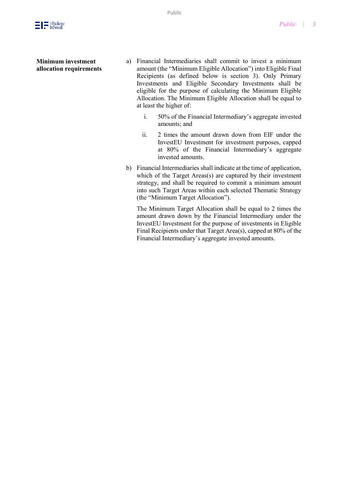

#### **Minimum investment allocation requirements**

- a) Financial Intermediaries shall commit to invest a minimum amount (the "Minimum Eligible Allocation") into Eligible Final Recipients (as defined below is section 3). Only Primary Investments and Eligible Secondary Investments shall be eligible for the purpose of calculating the Minimum Eligible Allocation. The Minimum Eligible Allocation shall be equal to at least the higher of:
	- i. 50% of the Financial Intermediary's aggregate invested amounts; and
	- ii. 2 times the amount drawn down from EIF under the InvestEU Investment for investment purposes, capped at 80% of the Financial Intermediary's aggregate invested amounts.
- b) Financial Intermediaries shall indicate at the time of application, which of the Target Areas(s) are captured by their investment strategy, and shall be required to commit a minimum amount into such Target Areas within each selected Thematic Strategy (the "Minimum Target Allocation").

The Minimum Target Allocation shall be equal to 2 times the amount drawn down by the Financial Intermediary under the InvestEU Investment for the purpose of investments in Eligible Final Recipients under that Target Area(s), capped at 80% of the Financial Intermediary's aggregate invested amounts.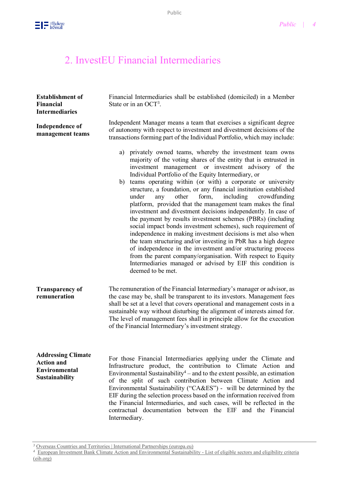

## 2. InvestEU Financial Intermediaries

| <b>Establishment of</b><br>Financial<br><b>Intermediaries</b>                                   | Financial Intermediaries shall be established (domiciled) in a Member<br>State or in an OCT <sup>3</sup> .                                                                                                                                                                                                                                                                                                                                                                                                                                                                                                                                                                                                                                                                                                                                                                                                                                                                                                                                                                  |  |  |
|-------------------------------------------------------------------------------------------------|-----------------------------------------------------------------------------------------------------------------------------------------------------------------------------------------------------------------------------------------------------------------------------------------------------------------------------------------------------------------------------------------------------------------------------------------------------------------------------------------------------------------------------------------------------------------------------------------------------------------------------------------------------------------------------------------------------------------------------------------------------------------------------------------------------------------------------------------------------------------------------------------------------------------------------------------------------------------------------------------------------------------------------------------------------------------------------|--|--|
| <b>Independence of</b><br>management teams                                                      | Independent Manager means a team that exercises a significant degree<br>of autonomy with respect to investment and divestment decisions of the<br>transactions forming part of the Individual Portfolio, which may include:                                                                                                                                                                                                                                                                                                                                                                                                                                                                                                                                                                                                                                                                                                                                                                                                                                                 |  |  |
|                                                                                                 | privately owned teams, whereby the investment team owns<br>a)<br>majority of the voting shares of the entity that is entrusted in<br>investment management or investment advisory of the<br>Individual Portfolio of the Equity Intermediary, or<br>teams operating within (or with) a corporate or university<br>b)<br>structure, a foundation, or any financial institution established<br>form,<br>including<br>under<br>other<br>crowdfunding<br>any<br>platform, provided that the management team makes the final<br>investment and divestment decisions independently. In case of<br>the payment by results investment schemes (PBRs) (including<br>social impact bonds investment schemes), such requirement of<br>independence in making investment decisions is met also when<br>the team structuring and/or investing in PbR has a high degree<br>of independence in the investment and/or structuring process<br>from the parent company/organisation. With respect to Equity<br>Intermediaries managed or advised by EIF this condition is<br>deemed to be met. |  |  |
| <b>Transparency of</b><br>remuneration                                                          | The remuneration of the Financial Intermediary's manager or advisor, as<br>the case may be, shall be transparent to its investors. Management fees<br>shall be set at a level that covers operational and management costs in a<br>sustainable way without disturbing the alignment of interests aimed for.<br>The level of management fees shall in principle allow for the execution<br>of the Financial Intermediary's investment strategy.                                                                                                                                                                                                                                                                                                                                                                                                                                                                                                                                                                                                                              |  |  |
| <b>Addressing Climate</b><br><b>Action and</b><br><b>Environmental</b><br><b>Sustainability</b> | For those Financial Intermediaries applying under the Climate and<br>Infrastructure product, the contribution to Climate Action and<br>Environmental Sustainability <sup>4</sup> – and to the extent possible, an estimation<br>of the split of such contribution between Climate Action and<br>Environmental Sustainability ("CA&ES") - will be determined by the<br>EIF during the selection process based on the information received from<br>the Financial Intermediaries, and such cases, will be reflected in the<br>contractual documentation between the EIF and the Financial<br>Intermediary.                                                                                                                                                                                                                                                                                                                                                                                                                                                                     |  |  |

<sup>&</sup>lt;sup>3</sup> [Overseas Countries and Territories | International Partnerships \(europa.eu\)](https://ec.europa.eu/international-partnerships/where-we-work/overseas-countries-and-territories_en)

*<sup>4</sup>* [European Investment Bank Climate Action and Environmental Sustainability -](https://www.eib.org/attachments/publications/climate_action_lending_eligibility_list_en.pdf) List of eligible sectors and eligibility criteria [\(eib.org\)](https://www.eib.org/attachments/publications/climate_action_lending_eligibility_list_en.pdf)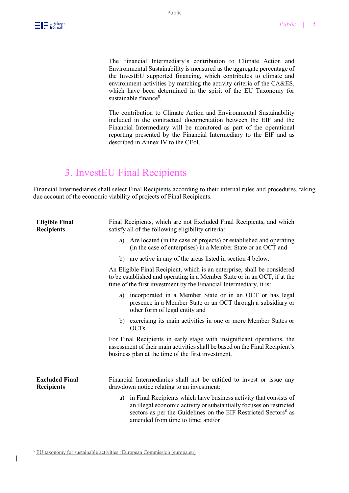

The Financial Intermediary's contribution to Climate Action and Environmental Sustainability is measured as the aggregate percentage of the InvestEU supported financing, which contributes to climate and environment activities by matching the activity criteria of the CA&ES, which have been determined in the spirit of the EU Taxonomy for sustainable finance<sup>5</sup>.

The contribution to Climate Action and Environmental Sustainability included in the contractual documentation between the EIF and the Financial Intermediary will be monitored as part of the operational reporting presented by the Financial Intermediary to the EIF and as described in Annex IV to the CEoI.

## 3. InvestEU Final Recipients

Financial Intermediaries shall select Final Recipients according to their internal rules and procedures, taking due account of the economic viability of projects of Final Recipients.

| <b>Eligible Final</b><br><b>Recipients</b> | Final Recipients, which are not Excluded Final Recipients, and which<br>satisfy all of the following eligibility criteria:                                                                                                                                         |  |  |
|--------------------------------------------|--------------------------------------------------------------------------------------------------------------------------------------------------------------------------------------------------------------------------------------------------------------------|--|--|
|                                            | Are located (in the case of projects) or established and operating<br>a)<br>(in the case of enterprises) in a Member State or an OCT and                                                                                                                           |  |  |
|                                            | are active in any of the areas listed in section 4 below.<br>b)                                                                                                                                                                                                    |  |  |
|                                            | An Eligible Final Recipient, which is an enterprise, shall be considered<br>to be established and operating in a Member State or in an OCT, if at the<br>time of the first investment by the Financial Intermediary, it is:                                        |  |  |
|                                            | incorporated in a Member State or in an OCT or has legal<br>a)<br>presence in a Member State or an OCT through a subsidiary or<br>other form of legal entity and                                                                                                   |  |  |
|                                            | exercising its main activities in one or more Member States or<br>b)<br>OCT <sub>s</sub> .                                                                                                                                                                         |  |  |
|                                            | For Final Recipients in early stage with insignificant operations, the<br>assessment of their main activities shall be based on the Final Recipient's<br>business plan at the time of the first investment.                                                        |  |  |
| <b>Excluded Final</b><br><b>Recipients</b> | Financial Intermediaries shall not be entitled to invest or issue any<br>drawdown notice relating to an investment:                                                                                                                                                |  |  |
|                                            | in Final Recipients which have business activity that consists of<br>a)<br>an illegal economic activity or substantially focuses on restricted<br>sectors as per the Guidelines on the EIF Restricted Sectors <sup>6</sup> as<br>amended from time to time; and/or |  |  |

<sup>5</sup> [EU taxonomy for sustainable activities | European Commission \(europa.eu\)](https://ec.europa.eu/info/business-economy-euro/banking-and-finance/sustainable-finance/eu-taxonomy-sustainable-activities_en)

 $\overline{\phantom{a}}$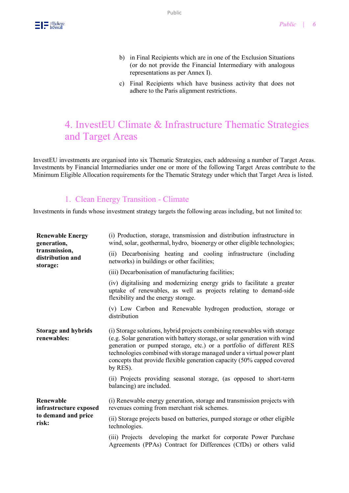- b) in Final Recipients which are in one of the Exclusion Situations (or do not provide the Financial Intermediary with analogous representations as per Annex I).
- c) Final Recipients which have business activity that does not adhere to the Paris alignment restrictions.

## 4. InvestEU Climate & Infrastructure Thematic Strategies and Target Areas

InvestEU investments are organised into six Thematic Strategies, each addressing a number of Target Areas. Investments by Financial Intermediaries under one or more of the following Target Areas contribute to the Minimum Eligible Allocation requirements for the Thematic Strategy under which that Target Area is listed.

### 1. Clean Energy Transition - Climate

Investments in funds whose investment strategy targets the following areas including, but not limited to:

| <b>Renewable Energy</b><br>generation,                              | (i) Production, storage, transmission and distribution infrastructure in<br>wind, solar, geothermal, hydro, bioenergy or other eligible technologies;                                                                                                                                                                                                                                         |
|---------------------------------------------------------------------|-----------------------------------------------------------------------------------------------------------------------------------------------------------------------------------------------------------------------------------------------------------------------------------------------------------------------------------------------------------------------------------------------|
| transmission,<br>distribution and<br>storage:                       | (ii) Decarbonising heating and cooling infrastructure (including<br>networks) in buildings or other facilities;                                                                                                                                                                                                                                                                               |
|                                                                     | (iii) Decarbonisation of manufacturing facilities;                                                                                                                                                                                                                                                                                                                                            |
|                                                                     | (iv) digitalising and modernizing energy grids to facilitate a greater<br>uptake of renewables, as well as projects relating to demand-side<br>flexibility and the energy storage.                                                                                                                                                                                                            |
|                                                                     | (v) Low Carbon and Renewable hydrogen production, storage or<br>distribution                                                                                                                                                                                                                                                                                                                  |
| <b>Storage and hybrids</b><br>renewables:                           | (i) Storage solutions, hybrid projects combining renewables with storage<br>(e.g. Solar generation with battery storage, or solar generation with wind<br>generation or pumped storage, etc.) or a portfolio of different RES<br>technologies combined with storage managed under a virtual power plant<br>concepts that provide flexible generation capacity (50% capped covered<br>by RES). |
|                                                                     | (ii) Projects providing seasonal storage, (as opposed to short-term<br>balancing) are included.                                                                                                                                                                                                                                                                                               |
| Renewable<br>infrastructure exposed<br>to demand and price<br>risk: | (i) Renewable energy generation, storage and transmission projects with<br>revenues coming from merchant risk schemes.                                                                                                                                                                                                                                                                        |
|                                                                     | (ii) Storage projects based on batteries, pumped storage or other eligible<br>technologies.                                                                                                                                                                                                                                                                                                   |
|                                                                     | (iii) Projects developing the market for corporate Power Purchase<br>Agreements (PPAs) Contract for Differences (CfDs) or others valid                                                                                                                                                                                                                                                        |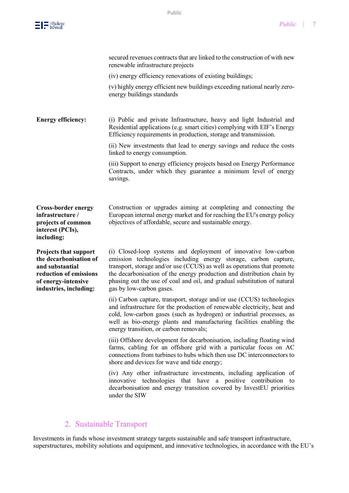|                                                                                                                                                      | secured revenues contracts that are linked to the construction of with new<br>renewable infrastructure projects                                                                                                                                                                                                                                                                                 |
|------------------------------------------------------------------------------------------------------------------------------------------------------|-------------------------------------------------------------------------------------------------------------------------------------------------------------------------------------------------------------------------------------------------------------------------------------------------------------------------------------------------------------------------------------------------|
|                                                                                                                                                      | (iv) energy efficiency renovations of existing buildings;                                                                                                                                                                                                                                                                                                                                       |
|                                                                                                                                                      | (v) highly energy efficient new buildings exceeding national nearly zero-<br>energy buildings standards                                                                                                                                                                                                                                                                                         |
| <b>Energy efficiency:</b>                                                                                                                            | (i) Public and private Infrastructure, heavy and light Industrial and<br>Residential applications (e.g. smart cities) complying with EIF's Energy<br>Efficiency requirements in production, storage and transmission.                                                                                                                                                                           |
|                                                                                                                                                      | (ii) New investments that lead to energy savings and reduce the costs<br>linked to energy consumption.                                                                                                                                                                                                                                                                                          |
|                                                                                                                                                      | (iii) Support to energy efficiency projects based on Energy Performance<br>Contracts, under which they guarantee a minimum level of energy<br>savings.                                                                                                                                                                                                                                          |
| <b>Cross-border energy</b><br>infrastructure /<br>projects of common<br>interest (PCIs),<br>including:                                               | Construction or upgrades aiming at completing and connecting the<br>European internal energy market and for reaching the EU's energy policy<br>objectives of affordable, secure and sustainable energy.                                                                                                                                                                                         |
| <b>Projects that support</b><br>the decarbonisation of<br>and substantial<br>reduction of emissions<br>of energy-intensive<br>industries, including: | (i) Closed-loop systems and deployment of innovative low-carbon<br>emission technologies including energy storage, carbon capture,<br>transport, storage and/or use (CCUS) as well as operations that promote<br>the decarbonisation of the energy production and distribution chain by<br>phasing out the use of coal and oil, and gradual substitution of natural<br>gas by low-carbon gases. |
|                                                                                                                                                      | (ii) Carbon capture, transport, storage and/or use (CCUS) technologies<br>and infrastructure for the production of renewable electricity, heat and<br>cold, low-carbon gases (such as hydrogen) or industrial processes, as<br>well as bio-energy plants and manufacturing facilities enabling the<br>energy transition, or carbon removals;                                                    |
|                                                                                                                                                      | (iii) Offshore development for decarbonisation, including floating wind<br>farms, cabling for an offshore grid with a particular focus on AC<br>connections from turbines to hubs which then use DC interconnectors to<br>shore and devices for wave and tide energy;                                                                                                                           |
|                                                                                                                                                      | (iv) Any other infrastructure investments, including application of<br>innovative technologies that have a positive contribution to<br>decarbonisation and energy transition covered by InvestEU priorities<br>under the SIW                                                                                                                                                                    |

## 2. Sustainable Transport

Investments in funds whose investment strategy targets sustainable and safe transport infrastructure, superstructures, mobility solutions and equipment, and innovative technologies, in accordance with the EU's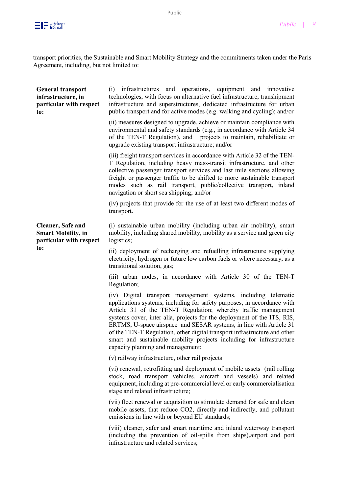

transport priorities, the Sustainable and Smart Mobility Strategy and the commitments taken under the Paris Agreement, including, but not limited to:

| <b>General transport</b><br>infrastructure, in<br>particular with respect<br>to:         | (i) infrastructures and operations, equipment and innovative<br>technologies, with focus on alternative fuel infrastructure, transhipment<br>infrastructure and superstructures, dedicated infrastructure for urban<br>public transport and for active modes (e.g. walking and cycling); and/or                                                                                                                                                                                                                                                        |
|------------------------------------------------------------------------------------------|--------------------------------------------------------------------------------------------------------------------------------------------------------------------------------------------------------------------------------------------------------------------------------------------------------------------------------------------------------------------------------------------------------------------------------------------------------------------------------------------------------------------------------------------------------|
|                                                                                          | (ii) measures designed to upgrade, achieve or maintain compliance with<br>environmental and safety standards (e.g., in accordance with Article 34<br>of the TEN-T Regulation), and projects to maintain, rehabilitate or<br>upgrade existing transport infrastructure; and/or                                                                                                                                                                                                                                                                          |
|                                                                                          | (iii) freight transport services in accordance with Article 32 of the TEN-<br>T Regulation, including heavy mass-transit infrastructure, and other<br>collective passenger transport services and last mile sections allowing<br>freight or passenger traffic to be shifted to more sustainable transport<br>modes such as rail transport, public/collective transport, inland<br>navigation or short sea shipping; and/or                                                                                                                             |
|                                                                                          | (iv) projects that provide for the use of at least two different modes of<br>transport.                                                                                                                                                                                                                                                                                                                                                                                                                                                                |
| <b>Cleaner</b> , Safe and<br><b>Smart Mobility, in</b><br>particular with respect<br>to: | (i) sustainable urban mobility (including urban air mobility), smart<br>mobility, including shared mobility, mobility as a service and green city<br>logistics;                                                                                                                                                                                                                                                                                                                                                                                        |
|                                                                                          | (ii) deployment of recharging and refuelling infrastructure supplying<br>electricity, hydrogen or future low carbon fuels or where necessary, as a<br>transitional solution, gas;                                                                                                                                                                                                                                                                                                                                                                      |
|                                                                                          | (iii) urban nodes, in accordance with Article 30 of the TEN-T<br>Regulation;                                                                                                                                                                                                                                                                                                                                                                                                                                                                           |
|                                                                                          | (iv) Digital transport management systems, including telematic<br>applications systems, including for safety purposes, in accordance with<br>Article 31 of the TEN-T Regulation; whereby traffic management<br>systems cover, inter alia, projects for the deployment of the ITS, RIS,<br>ERTMS, U-space airspace and SESAR systems, in line with Article 31<br>of the TEN-T Regulation, other digital transport infrastructure and other<br>smart and sustainable mobility projects including for infrastructure<br>capacity planning and management; |
|                                                                                          | (v) railway infrastructure, other rail projects                                                                                                                                                                                                                                                                                                                                                                                                                                                                                                        |
|                                                                                          | (vi) renewal, retrofitting and deployment of mobile assets (rail rolling<br>stock, road transport vehicles, aircraft and vessels) and related<br>equipment, including at pre-commercial level or early commercialisation<br>stage and related infrastructure;                                                                                                                                                                                                                                                                                          |
|                                                                                          | (vii) fleet renewal or acquisition to stimulate demand for safe and clean<br>mobile assets, that reduce CO2, directly and indirectly, and pollutant<br>emissions in line with or beyond EU standards;                                                                                                                                                                                                                                                                                                                                                  |
|                                                                                          | (viii) cleaner, safer and smart maritime and inland waterway transport<br>(including the prevention of oil-spills from ships), airport and port<br>infrastructure and related services;                                                                                                                                                                                                                                                                                                                                                                |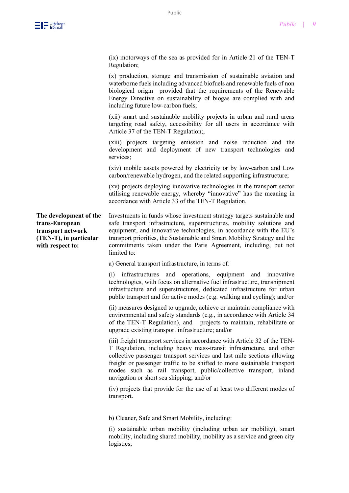

(ix) motorways of the sea as provided for in Article 21 of the TEN-T Regulation;

(x) production, storage and transmission of sustainable aviation and waterborne fuels including advanced biofuels and renewable fuels of non biological origin provided that the requirements of the Renewable Energy Directive on sustainability of biogas are complied with and including future low-carbon fuels;

(xii) smart and sustainable mobility projects in urban and rural areas targeting road safety, accessibility for all users in accordance with Article 37 of the TEN-T Regulation;,

(xiii) projects targeting emission and noise reduction and the development and deployment of new transport technologies and services;

(xiv) mobile assets powered by electricity or by low-carbon and Low carbon/renewable hydrogen, and the related supporting infrastructure;

(xv) projects deploying innovative technologies in the transport sector utilising renewable energy, whereby "innovative" has the meaning in accordance with Article 33 of the TEN-T Regulation.

**The development of the trans-European transport network (TEN-T), in particular with respect to:**

Investments in funds whose investment strategy targets sustainable and safe transport infrastructure, superstructures, mobility solutions and equipment, and innovative technologies, in accordance with the EU's transport priorities, the Sustainable and Smart Mobility Strategy and the commitments taken under the Paris Agreement, including, but not limited to:

a) General transport infrastructure, in terms of:

(i) infrastructures and operations, equipment and innovative technologies, with focus on alternative fuel infrastructure, transhipment infrastructure and superstructures, dedicated infrastructure for urban public transport and for active modes (e.g. walking and cycling); and/or

(ii) measures designed to upgrade, achieve or maintain compliance with environmental and safety standards (e.g., in accordance with Article 34 of the TEN-T Regulation), and projects to maintain, rehabilitate or upgrade existing transport infrastructure; and/or

(iii) freight transport services in accordance with Article 32 of the TEN-T Regulation, including heavy mass-transit infrastructure, and other collective passenger transport services and last mile sections allowing freight or passenger traffic to be shifted to more sustainable transport modes such as rail transport, public/collective transport, inland navigation or short sea shipping; and/or

(iv) projects that provide for the use of at least two different modes of transport.

b) Cleaner, Safe and Smart Mobility, including:

(i) sustainable urban mobility (including urban air mobility), smart mobility, including shared mobility, mobility as a service and green city logistics;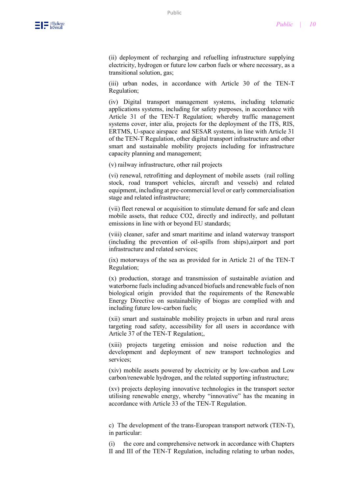

(ii) deployment of recharging and refuelling infrastructure supplying electricity, hydrogen or future low carbon fuels or where necessary, as a transitional solution, gas;

(iii) urban nodes, in accordance with Article 30 of the TEN-T Regulation;

(iv) Digital transport management systems, including telematic applications systems, including for safety purposes, in accordance with Article 31 of the TEN-T Regulation; whereby traffic management systems cover, inter alia, projects for the deployment of the ITS, RIS, ERTMS, U-space airspace and SESAR systems, in line with Article 31 of the TEN-T Regulation, other digital transport infrastructure and other smart and sustainable mobility projects including for infrastructure capacity planning and management;

(v) railway infrastructure, other rail projects

(vi) renewal, retrofitting and deployment of mobile assets (rail rolling stock, road transport vehicles, aircraft and vessels) and related equipment, including at pre-commercial level or early commercialisation stage and related infrastructure;

(vii) fleet renewal or acquisition to stimulate demand for safe and clean mobile assets, that reduce CO2, directly and indirectly, and pollutant emissions in line with or beyond EU standards;

(viii) cleaner, safer and smart maritime and inland waterway transport (including the prevention of oil-spills from ships),airport and port infrastructure and related services;

(ix) motorways of the sea as provided for in Article 21 of the TEN-T Regulation;

(x) production, storage and transmission of sustainable aviation and waterborne fuels including advanced biofuels and renewable fuels of non biological origin provided that the requirements of the Renewable Energy Directive on sustainability of biogas are complied with and including future low-carbon fuels;

(xii) smart and sustainable mobility projects in urban and rural areas targeting road safety, accessibility for all users in accordance with Article 37 of the TEN-T Regulation;,

(xiii) projects targeting emission and noise reduction and the development and deployment of new transport technologies and services;

(xiv) mobile assets powered by electricity or by low-carbon and Low carbon/renewable hydrogen, and the related supporting infrastructure;

(xv) projects deploying innovative technologies in the transport sector utilising renewable energy, whereby "innovative" has the meaning in accordance with Article 33 of the TEN-T Regulation.

c) The development of the trans-European transport network (TEN-T), in particular:

(i) the core and comprehensive network in accordance with Chapters II and III of the TEN-T Regulation, including relating to urban nodes,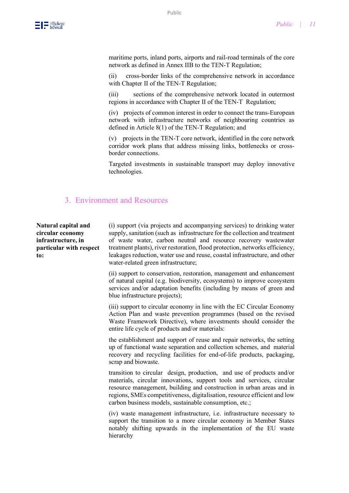

maritime ports, inland ports, airports and rail-road terminals of the core network as defined in Annex IIB to the TEN-T Regulation;

(ii) cross-border links of the comprehensive network in accordance with Chapter II of the TEN-T Regulation;

(iii) sections of the comprehensive network located in outermost regions in accordance with Chapter II of the TEN-T Regulation;

(iv) projects of common interest in order to connect the trans-European network with infrastructure networks of neighbouring countries as defined in Article 8(1) of the TEN-T Regulation; and

(v) projects in the TEN-T core network, identified in the core network corridor work plans that address missing links, bottlenecks or crossborder connections.

Targeted investments in sustainable transport may deploy innovative technologies.

#### 3. Environment and Resources

**Natural capital and circular economy infrastructure, in particular with respect to:**

(i) support (via projects and accompanying services) to drinking water supply, sanitation (such as infrastructure for the collection and treatment of waste water, carbon neutral and resource recovery wastewater treatment plants), river restoration, flood protection, networks efficiency, leakages reduction, water use and reuse, coastal infrastructure, and other water-related green infrastructure;

(ii) support to conservation, restoration, management and enhancement of natural capital (e.g. biodiversity, ecosystems) to improve ecosystem services and/or adaptation benefits (including by means of green and blue infrastructure projects);

(iii) support to circular economy in line with the EC Circular Economy Action Plan and waste prevention programmes (based on the revised Waste Framework Directive), where investments should consider the entire life cycle of products and/or materials:

the establishment and support of reuse and repair networks, the setting up of functional waste separation and collection schemes, and material recovery and recycling facilities for end-of-life products, packaging, scrap and biowaste.

transition to circular design, production, and use of products and/or materials, circular innovations, support tools and services, circular resource management, building and construction in urban areas and in regions, SMEs competitiveness, digitalisation, resource efficient and low carbon business models, sustainable consumption, etc.;

(iv) waste management infrastructure, i.e. infrastructure necessary to support the transition to a more circular economy in Member States notably shifting upwards in the implementation of the EU waste hierarchy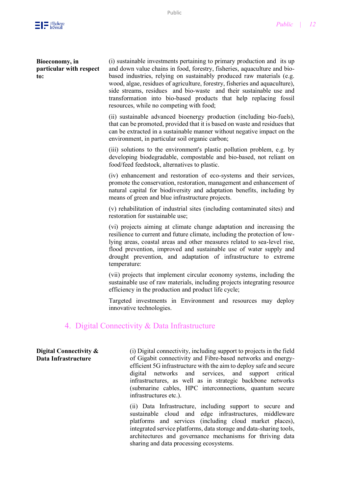

#### **Bioeconomy, in particular with respect to:**

(i) sustainable investments pertaining to primary production and its up and down value chains in food, forestry, fisheries, aquaculture and biobased industries, relying on sustainably produced raw materials (e.g. wood, algae, residues of agriculture, forestry, fisheries and aquaculture), side streams, residues and bio-waste and their sustainable use and transformation into bio-based products that help replacing fossil resources, while no competing with food;

(ii) sustainable advanced bioenergy production (including bio-fuels), that can be promoted, provided that it is based on waste and residues that can be extracted in a sustainable manner without negative impact on the environment, in particular soil organic carbon;

(iii) solutions to the environment's plastic pollution problem, e.g. by developing biodegradable, compostable and bio-based, not reliant on food/feed feedstock, alternatives to plastic.

(iv) enhancement and restoration of eco-systems and their services, promote the conservation, restoration, management and enhancement of natural capital for biodiversity and adaptation benefits, including by means of green and blue infrastructure projects.

(v) rehabilitation of industrial sites (including contaminated sites) and restoration for sustainable use;

(vi) projects aiming at climate change adaptation and increasing the resilience to current and future climate, including the protection of lowlying areas, coastal areas and other measures related to sea-level rise, flood prevention, improved and sustainable use of water supply and drought prevention, and adaptation of infrastructure to extreme temperature:

(vii) projects that implement circular economy systems, including the sustainable use of raw materials, including projects integrating resource efficiency in the production and product life cycle;

Targeted investments in Environment and resources may deploy innovative technologies.

#### 4. Digital Connectivity & Data Infrastructure

#### **Digital Connectivity & Data Infrastructure**

(i) Digital connectivity, including support to projects in the field of Gigabit connectivity and Fibre-based networks and energyefficient 5G infrastructure with the aim to deploy safe and secure digital networks and services, and support critical infrastructures, as well as in strategic backbone networks (submarine cables, HPC interconnections, quantum secure infrastructures etc.).

(ii) Data Infrastructure, including support to secure and sustainable cloud and edge infrastructures, middleware platforms and services (including cloud market places), integrated service platforms, data storage and data-sharing tools, architectures and governance mechanisms for thriving data sharing and data processing ecosystems.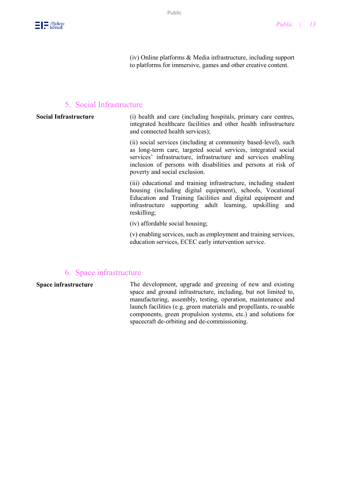(iv) Online platforms & Media infrastructure, including support to platforms for immersive, games and other creative content.

#### 5. Social Infrastructure

| <b>Social Infrastructure</b> | (i) health and care (including hospitals, primary care centres,<br>integrated healthcare facilities and other health infrastructure<br>and connected health services); |
|------------------------------|------------------------------------------------------------------------------------------------------------------------------------------------------------------------|
|                              | (ii) social services (including at community based-level), such<br>as long-term care, targeted social services, integrated social                                      |

as long-term care, targeted social services, integrated social services' infrastructure, infrastructure and services enabling inclusion of persons with disabilities and persons at risk of poverty and social exclusion.

(iii) educational and training infrastructure, including student housing (including digital equipment), schools, Vocational Education and Training facilities and digital equipment and infrastructure supporting adult learning, upskilling and reskilling;

(iv) affordable social housing;

(v) enabling services, such as employment and training services, education services, ECEC early intervention service.

#### 6. Space infrastructure

**Space infrastructure** The development, upgrade and greening of new and existing space and ground infrastructure, including, but not limited to, manufacturing, assembly, testing, operation, maintenance and launch facilities (e.g. green materials and propellants, re-usable components, green propulsion systems, etc.) and solutions for spacecraft de-orbiting and de-commissioning.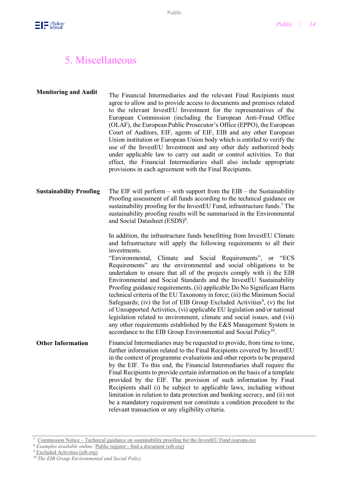## 5. Miscellaneous

**Monitoring and Audit** The Financial Intermediaries and the relevant Final Recipients must agree to allow and to provide access to documents and premises related to the relevant InvestEU Investment for the representatives of the European Commission (including the European Anti-Fraud Office (OLAF), the European Public Prosecutor's Office (EPPO), the European Court of Auditors, EIF, agents of EIF, EIB and any other European Union institution or European Union body which is entitled to verify the use of the InvestEU Investment and any other duly authorized body under applicable law to carry out audit or control activities. To that effect, the Financial Intermediaries shall also include appropriate provisions in each agreement with the Final Recipients.

#### **Sustainability Proofing** The EIF will perform – with support from the EIB – the Sustainability Proofing assessment of all funds according to the technical guidance on sustainability proofing for the InvestEU Fund, infrastructure funds.<sup>7</sup> The sustainability proofing results will be summarised in the Environmental and Social Datasheet (ESDS)<sup>8</sup>.

In addition, the infrastructure funds benefitting from InvestEU Climate and Infrastructure will apply the following requirements to all their investments.

"Environmental, Climate and Social Requirements", or "ECS Requirements" are the environmental and social obligations to be undertaken to ensure that all of the projects comply with i) the EIB Environmental and Social Standards and the InvestEU Sustainability Proofing guidance requirements, (ii) applicable Do No Significant Harm technical criteria of the EU Taxonomy in force; (iii) the Minimum Social Safeguards; (iv) the list of EIB Group Excluded Activities<sup>9</sup>, (v) the list of Unsupported Activities, (vi) applicable EU legislation and/or national legislation related to environment, climate and social issues, and (vii) any other requirements established by the E&S Management System in accordance to the EIB Group Environmental and Social Policy<sup>10</sup>.

**Other Information** Financial Intermediaries may be requested to provide, from time to time, further information related to the Final Recipients covered by InvestEU in the context of programme evaluations and other reports to be prepared by the EIF. To this end, the Financial Intermediaries shall require the Final Recipients to provide certain information on the basis of a template provided by the EIF. The provision of such information by Final Recipients shall (i) be subject to applicable laws, including without limitation in relation to data protection and banking secrecy, and (ii) not be a mandatory requirement nor constitute a condition precedent to the relevant transaction or any eligibility criteria.

*<sup>7</sup>* Commission Notice – [Technical guidance on sustainability proofing for the InvestEU Fund \(europa.eu\)](https://eur-lex.europa.eu/legal-content/EN/TXT/PDF/?uri=CELEX:52021XC0713(02))

*<sup>8</sup> Examples available online:* Public register - [find a document \(eib.org\)](https://www.eib.org/en/registers/all/index.htm?q=&sortColumn=publicationDate&sortDir=desc&pageNumber=0&itemPerPage=25&pageable=true&language=EN&defaultLanguage=EN&orYearFrom=true&orYearTo=true&orDocumentLanguages=true&documentTypes=ESDS&orDocumentTypes=true)

<sup>&</sup>lt;sup>9</sup> [Excluded Activities \(eib.org\)](https://www.eib.org/en/about/documents/excluded-activities-2013.htm)

*<sup>10</sup> [The EIB Group Environmental and Social Policy](https://www.eib.org/attachments/publications/eib_group_environmental_and_social_policy_en.pdf)*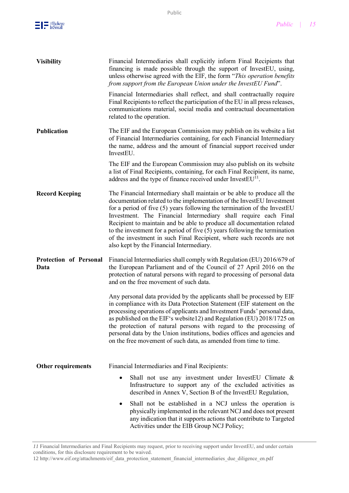

| <b>Visibility</b>              | Financial Intermediaries shall explicitly inform Final Recipients that<br>financing is made possible through the support of InvestEU, using,<br>unless otherwise agreed with the EIF, the form "This operation benefits"<br>from support from the European Union under the InvestEU Fund".                                                                                                                                                                                                                                                                                        |  |  |
|--------------------------------|-----------------------------------------------------------------------------------------------------------------------------------------------------------------------------------------------------------------------------------------------------------------------------------------------------------------------------------------------------------------------------------------------------------------------------------------------------------------------------------------------------------------------------------------------------------------------------------|--|--|
|                                | Financial Intermediaries shall reflect, and shall contractually require<br>Final Recipients to reflect the participation of the EU in all press releases,<br>communications material, social media and contractual documentation<br>related to the operation.                                                                                                                                                                                                                                                                                                                     |  |  |
| <b>Publication</b>             | The EIF and the European Commission may publish on its website a list<br>of Financial Intermediaries containing, for each Financial Intermediary<br>the name, address and the amount of financial support received under<br>InvestEU.                                                                                                                                                                                                                                                                                                                                             |  |  |
|                                | The EIF and the European Commission may also publish on its website<br>a list of Final Recipients, containing, for each Final Recipient, its name,<br>address and the type of finance received under InvestEU <sup>11</sup> .                                                                                                                                                                                                                                                                                                                                                     |  |  |
| <b>Record Keeping</b>          | The Financial Intermediary shall maintain or be able to produce all the<br>documentation related to the implementation of the InvestEU Investment<br>for a period of five $(5)$ years following the termination of the InvestEU<br>Investment. The Financial Intermediary shall require each Final<br>Recipient to maintain and be able to produce all documentation related<br>to the investment for a period of five $(5)$ years following the termination<br>of the investment in such Final Recipient, where such records are not<br>also kept by the Financial Intermediary. |  |  |
| Protection of Personal<br>Data | Financial Intermediaries shall comply with Regulation (EU) 2016/679 of<br>the European Parliament and of the Council of 27 April 2016 on the<br>protection of natural persons with regard to processing of personal data<br>and on the free movement of such data.                                                                                                                                                                                                                                                                                                                |  |  |
|                                | Any personal data provided by the applicants shall be processed by EIF<br>in compliance with its Data Protection Statement (EIF statement on the<br>processing operations of applicants and Investment Funds' personal data,<br>as published on the EIF's website12) and Regulation (EU) 2018/1725 on<br>the protection of natural persons with regard to the processing of<br>personal data by the Union institutions, bodies offices and agencies and<br>on the free movement of such data, as amended from time to time.                                                       |  |  |
| Other requirements             | Financial Intermediaries and Final Recipients:                                                                                                                                                                                                                                                                                                                                                                                                                                                                                                                                    |  |  |
|                                | Shall not use any investment under InvestEU Climate &<br>٠<br>Infrastructure to support any of the excluded activities as<br>described in Annex V, Section B of the InvestEU Regulation,                                                                                                                                                                                                                                                                                                                                                                                          |  |  |
|                                | Shall not be established in a NCJ unless the operation is<br>٠<br>physically implemented in the relevant NCJ and does not present<br>any indication that it supports actions that contribute to Targeted<br>Activities under the EIB Group NCJ Policy;                                                                                                                                                                                                                                                                                                                            |  |  |

*11* Financial Intermediaries and Final Recipients may request, prior to receiving support under InvestEU, and under certain conditions, for this disclosure requirement to be waived.

<sup>12</sup> [http://www.eif.org/attachments/eif\\_data\\_protection\\_statement\\_financial\\_intermediaries\\_due\\_diligence\\_en.pdf](http://www.eif.org/attachments/eif_data_protection_statement_financial_intermediaries_due_diligence_en.pdf)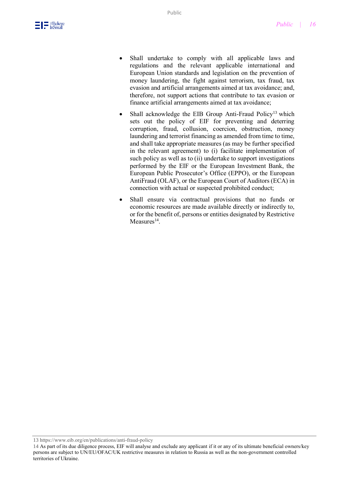- Shall undertake to comply with all applicable laws and regulations and the relevant applicable international and European Union standards and legislation on the prevention of money laundering, the fight against terrorism, tax fraud, tax evasion and artificial arrangements aimed at tax avoidance; and, therefore, not support actions that contribute to tax evasion or finance artificial arrangements aimed at tax avoidance;
- Shall acknowledge the EIB Group Anti-Fraud Policy<sup>13</sup> which sets out the policy of EIF for preventing and deterring corruption, fraud, collusion, coercion, obstruction, money laundering and terrorist financing as amended from time to time, and shall take appropriate measures (as may be further specified in the relevant agreement) to (i) facilitate implementation of such policy as well as to (ii) undertake to support investigations performed by the EIF or the European Investment Bank, the European Public Prosecutor's Office (EPPO), or the European AntiFraud (OLAF), or the European Court of Auditors (ECA) in connection with actual or suspected prohibited conduct;
- Shall ensure via contractual provisions that no funds or economic resources are made available directly or indirectly to, or for the benefit of, persons or entities designated by Restrictive  $Measures<sup>14</sup>$ .

13 <https://www.eib.org/en/publications/anti-fraud-policy>

<sup>14</sup> As part of its due diligence process, EIF will analyse and exclude any applicant if it or any of its ultimate beneficial owners/key persons are subject to UN/EU/OFAC/UK restrictive measures in relation to Russia as well as the non-government controlled territories of Ukraine.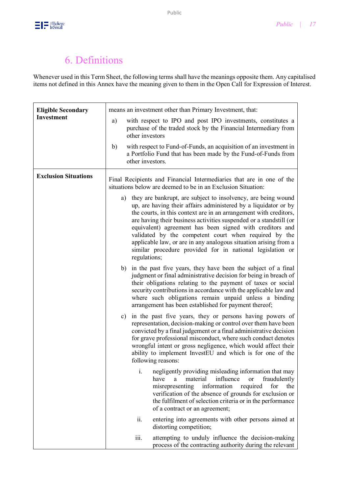## 6. Definitions

Whenever used in this Term Sheet, the following terms shall have the meanings opposite them. Any capitalised items not defined in this Annex have the meaning given to them in the Open Call for Expression of Interest.

| <b>Eligible Secondary</b>   | means an investment other than Primary Investment, that:                                                                                                                                                                                                                                                                                                                                                                                                                                                                                             |  |
|-----------------------------|------------------------------------------------------------------------------------------------------------------------------------------------------------------------------------------------------------------------------------------------------------------------------------------------------------------------------------------------------------------------------------------------------------------------------------------------------------------------------------------------------------------------------------------------------|--|
| <b>Investment</b>           | with respect to IPO and post IPO investments, constitutes a<br>a)<br>purchase of the traded stock by the Financial Intermediary from<br>other investors                                                                                                                                                                                                                                                                                                                                                                                              |  |
|                             | with respect to Fund-of-Funds, an acquisition of an investment in<br>b)<br>a Portfolio Fund that has been made by the Fund-of-Funds from<br>other investors.                                                                                                                                                                                                                                                                                                                                                                                         |  |
| <b>Exclusion Situations</b> | Final Recipients and Financial Intermediaries that are in one of the<br>situations below are deemed to be in an Exclusion Situation:                                                                                                                                                                                                                                                                                                                                                                                                                 |  |
|                             | a) they are bankrupt, are subject to insolvency, are being wound<br>up, are having their affairs administered by a liquidator or by<br>the courts, in this context are in an arrangement with creditors,<br>are having their business activities suspended or a standstill (or<br>equivalent) agreement has been signed with creditors and<br>validated by the competent court when required by the<br>applicable law, or are in any analogous situation arising from a<br>similar procedure provided for in national legislation or<br>regulations; |  |
|                             | b) in the past five years, they have been the subject of a final<br>judgment or final administrative decision for being in breach of<br>their obligations relating to the payment of taxes or social<br>security contributions in accordance with the applicable law and<br>where such obligations remain unpaid unless a binding<br>arrangement has been established for payment thereof;                                                                                                                                                           |  |
|                             | in the past five years, they or persons having powers of<br>c)<br>representation, decision-making or control over them have been<br>convicted by a final judgement or a final administrative decision<br>for grave professional misconduct, where such conduct denotes<br>wrongful intent or gross negligence, which would affect their<br>ability to implement InvestEU and which is for one of the<br>following reasons:                                                                                                                           |  |
|                             | negligently providing misleading information that may<br>i.<br>material<br>influence<br>fraudulently<br>have<br>a<br><sub>or</sub><br>information<br>misrepresenting<br>required<br>for<br>the<br>verification of the absence of grounds for exclusion or<br>the fulfilment of selection criteria or in the performance<br>of a contract or an agreement;                                                                                                                                                                                            |  |
|                             | ii.<br>entering into agreements with other persons aimed at<br>distorting competition;                                                                                                                                                                                                                                                                                                                                                                                                                                                               |  |
|                             | iii.<br>attempting to unduly influence the decision-making<br>process of the contracting authority during the relevant                                                                                                                                                                                                                                                                                                                                                                                                                               |  |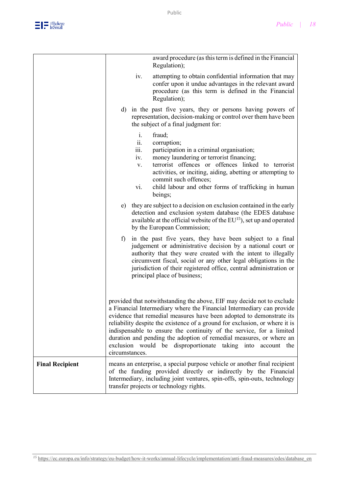

|                        |                                                   | award procedure (as this term is defined in the Financial<br>Regulation);                                                                                                                                                                                                                                                                                                                                                                                                                                               |
|------------------------|---------------------------------------------------|-------------------------------------------------------------------------------------------------------------------------------------------------------------------------------------------------------------------------------------------------------------------------------------------------------------------------------------------------------------------------------------------------------------------------------------------------------------------------------------------------------------------------|
|                        | iv.                                               | attempting to obtain confidential information that may<br>confer upon it undue advantages in the relevant award<br>procedure (as this term is defined in the Financial<br>Regulation);                                                                                                                                                                                                                                                                                                                                  |
|                        |                                                   | d) in the past five years, they or persons having powers of<br>representation, decision-making or control over them have been<br>the subject of a final judgment for:                                                                                                                                                                                                                                                                                                                                                   |
|                        | $\mathbf{i}$ .<br>ii.<br>111.<br>iv.<br>V.<br>vi. | fraud;<br>corruption;<br>participation in a criminal organisation;<br>money laundering or terrorist financing;<br>terrorist offences or offences linked to terrorist<br>activities, or inciting, aiding, abetting or attempting to<br>commit such offences;<br>child labour and other forms of trafficking in human<br>beings;                                                                                                                                                                                          |
|                        |                                                   | e) they are subject to a decision on exclusion contained in the early<br>detection and exclusion system database (the EDES database<br>available at the official website of the EU <sup>15</sup> ), set up and operated<br>by the European Commission;                                                                                                                                                                                                                                                                  |
|                        | $f$ )                                             | in the past five years, they have been subject to a final<br>judgement or administrative decision by a national court or<br>authority that they were created with the intent to illegally<br>circumvent fiscal, social or any other legal obligations in the<br>jurisdiction of their registered office, central administration or<br>principal place of business;                                                                                                                                                      |
|                        | circumstances.                                    | provided that notwithstanding the above, EIF may decide not to exclude<br>a Financial Intermediary where the Financial Intermediary can provide<br>evidence that remedial measures have been adopted to demonstrate its<br>reliability despite the existence of a ground for exclusion, or where it is<br>indispensable to ensure the continuity of the service, for a limited<br>duration and pending the adoption of remedial measures, or where an<br>exclusion would be disproportionate taking into<br>account the |
| <b>Final Recipient</b> |                                                   | means an enterprise, a special purpose vehicle or another final recipient<br>of the funding provided directly or indirectly by the Financial<br>Intermediary, including joint ventures, spin-offs, spin-outs, technology<br>transfer projects or technology rights.                                                                                                                                                                                                                                                     |

*<sup>15</sup>* [https://ec.europa.eu/info/strategy/eu-budget/how-it-works/annual-lifecycle/implementation/anti-fraud-measures/edes/database\\_en](https://ec.europa.eu/info/strategy/eu-budget/how-it-works/annual-lifecycle/implementation/anti-fraud-measures/edes/database_en)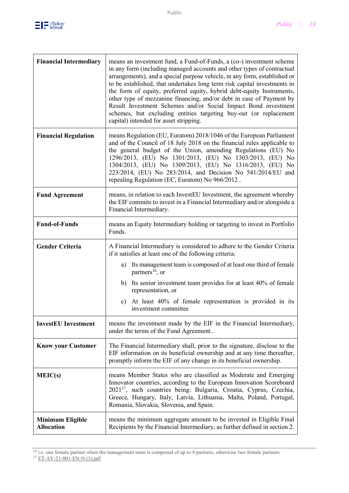

| <b>Financial Intermediary</b>                | means an investment fund, a Fund-of-Funds, a (co-) investment scheme<br>in any form (including managed accounts and other types of contractual<br>arrangements), and a special purpose vehicle, in any form, established or<br>to be established, that undertakes long term risk capital investments in<br>the form of equity, preferred equity, hybrid debt-equity Instruments,<br>other type of mezzanine financing, and/or debt in case of Payment by<br>Result Investment Schemes and/or Social Impact Bond investment<br>schemes, but excluding entities targeting buy-out (or replacement<br>capital) intended for asset stripping. |  |  |
|----------------------------------------------|-------------------------------------------------------------------------------------------------------------------------------------------------------------------------------------------------------------------------------------------------------------------------------------------------------------------------------------------------------------------------------------------------------------------------------------------------------------------------------------------------------------------------------------------------------------------------------------------------------------------------------------------|--|--|
| <b>Financial Regulation</b>                  | means Regulation (EU, Euratom) 2018/1046 of the European Parliament<br>and of the Council of 18 July 2018 on the financial rules applicable to<br>the general budget of the Union, amending Regulations (EU) No<br>1296/2013, (EU) No 1301/2013, (EU) No 1303/2013, (EU) No<br>1304/2013, (EU) No 1309/2013, (EU) No 1316/2013, (EU) No<br>223/2014, (EU) No 283/2014, and Decision No 541/2014/EU and<br>repealing Regulation (EC, Euratom) No 966/2012.                                                                                                                                                                                 |  |  |
| <b>Fund Agreement</b>                        | means, in relation to each InvestEU Investment, the agreement whereby<br>the EIF commits to invest in a Financial Intermediary and/or alongside a<br>Financial Intermediary.                                                                                                                                                                                                                                                                                                                                                                                                                                                              |  |  |
| <b>Fund-of-Funds</b>                         | means an Equity Intermediary holding or targeting to invest in Portfolio<br>Funds.                                                                                                                                                                                                                                                                                                                                                                                                                                                                                                                                                        |  |  |
| <b>Gender Criteria</b>                       | A Financial Intermediary is considered to adhere to the Gender Criteria<br>if it satisfies at least one of the following criteria:                                                                                                                                                                                                                                                                                                                                                                                                                                                                                                        |  |  |
|                                              | Its management team is composed of at least one third of female<br>a)<br>partners <sup>16</sup> , or                                                                                                                                                                                                                                                                                                                                                                                                                                                                                                                                      |  |  |
|                                              | Its senior investment team provides for at least 40% of female<br>b)<br>representation, or                                                                                                                                                                                                                                                                                                                                                                                                                                                                                                                                                |  |  |
|                                              | c) At least 40% of female representation is provided in its<br>investment committee                                                                                                                                                                                                                                                                                                                                                                                                                                                                                                                                                       |  |  |
| <b>InvestEU</b> Investment                   | means the investment made by the EIF in the Financial Intermediary,<br>under the terms of the Fund Agreement                                                                                                                                                                                                                                                                                                                                                                                                                                                                                                                              |  |  |
| <b>Know your Customer</b>                    | The Financial Intermediary shall, prior to the signature, disclose to the<br>EIF information on its beneficial ownership and at any time thereafter,<br>promptly inform the EIF of any change in its beneficial ownership.                                                                                                                                                                                                                                                                                                                                                                                                                |  |  |
| MEIC(s)                                      | means Member States who are classified as Moderate and Emerging<br>Innovator countries, according to the European Innovation Scoreboard<br>2021 <sup>17</sup> , such countries being: Bulgaria, Croatia, Cyprus, Czechia,<br>Greece, Hungary, Italy, Latvia, Lithuania, Malta, Poland, Portugal,<br>Romania, Slovakia, Slovenia, and Spain.                                                                                                                                                                                                                                                                                               |  |  |
| <b>Minimum Eligible</b><br><b>Allocation</b> | means the minimum aggregate amount to be invested in Eligible Final<br>Recipients by the Financial Intermediary, as further defined in section 2.                                                                                                                                                                                                                                                                                                                                                                                                                                                                                         |  |  |

*<sup>16</sup>* i.e. one female partner when the management team is composed of up to 4 partners, otherwise two female partners.

*<sup>17</sup>* [ET-AY-21-001-EN-N \(3\).pdf](file:///C:/Users/eliasm/Downloads/ET-AY-21-001-EN-N%20(3).pdf)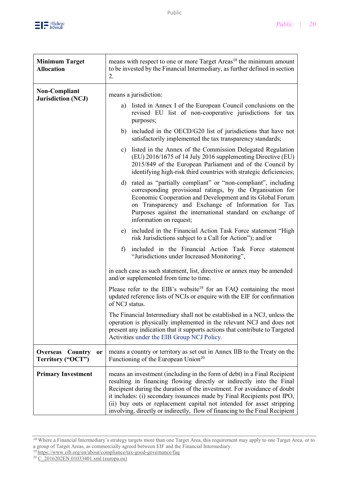

| <b>Minimum Target</b><br><b>Allocation</b>                   | means with respect to one or more Target Areas <sup>18</sup> the minimum amount<br>to be invested by the Financial Intermediary, as further defined in section<br>2.                                                                                                                                                                                                                                                                                           |  |
|--------------------------------------------------------------|----------------------------------------------------------------------------------------------------------------------------------------------------------------------------------------------------------------------------------------------------------------------------------------------------------------------------------------------------------------------------------------------------------------------------------------------------------------|--|
| <b>Non-Compliant</b><br><b>Jurisdiction (NCJ)</b>            | means a jurisdiction:<br>a) listed in Annex I of the European Council conclusions on the<br>revised EU list of non-cooperative jurisdictions for tax<br>purposes;<br>b) included in the OECD/G20 list of jurisdictions that have not<br>satisfactorily implemented the tax transparency standards;                                                                                                                                                             |  |
|                                                              | listed in the Annex of the Commission Delegated Regulation<br>c)<br>(EU) 2016/1675 of 14 July 2016 supplementing Directive (EU)<br>2015/849 of the European Parliament and of the Council by<br>identifying high-risk third countries with strategic deficiencies;                                                                                                                                                                                             |  |
|                                                              | d) rated as "partially compliant" or "non-compliant", including<br>corresponding provisional ratings, by the Organisation for<br>Economic Cooperation and Development and its Global Forum<br>on Transparency and Exchange of Information for Tax<br>Purposes against the international standard on exchange of<br>information on request;                                                                                                                     |  |
|                                                              | e) included in the Financial Action Task Force statement "High<br>risk Jurisdictions subject to a Call for Action"); and/or                                                                                                                                                                                                                                                                                                                                    |  |
|                                                              | included in the Financial Action Task Force statement<br>f)<br>"Jurisdictions under Increased Monitoring",                                                                                                                                                                                                                                                                                                                                                     |  |
|                                                              | in each case as such statement, list, directive or annex may be amended<br>and/or supplemented from time to time.                                                                                                                                                                                                                                                                                                                                              |  |
|                                                              | Please refer to the EIB's website <sup>19</sup> for an FAQ containing the most<br>updated reference lists of NCJs or enquire with the EIF for confirmation<br>of NCJ status.                                                                                                                                                                                                                                                                                   |  |
|                                                              | The Financial Intermediary shall not be established in a NCJ, unless the<br>operation is physically implemented in the relevant NCJ and does not<br>present any indication that it supports actions that contribute to Targeted<br>Activities under the EIB Group NCJ Policy.                                                                                                                                                                                  |  |
| <b>Overseas</b><br>Country<br><b>or</b><br>Territory ("OCT") | means a country or territory as set out in Annex IIB to the Treaty on the<br>Functioning of the European Union <sup>20</sup>                                                                                                                                                                                                                                                                                                                                   |  |
| <b>Primary Investment</b>                                    | means an investment (including in the form of debt) in a Final Recipient<br>resulting in financing flowing directly or indirectly into the Final<br>Recipient during the duration of the investment. For avoidance of doubt<br>it includes: (i) secondary issuances made by Final Recipients post IPO,<br>(ii) buy outs or replacement capital not intended for asset stripping<br>involving, directly or indirectly, flow of financing to the Final Recipient |  |

*<sup>18</sup>* Where a Financial Intermediary's strategy targets more than one Target Area, this requirement may apply to one Target Area, or to a group of Target Areas, as commercially agreed between EIF and the Financial Intermediary.

*<sup>19</sup>* <https://www.eib.org/en/about/compliance/tax-good-governance/faq>

*<sup>20</sup>* [C\\_2016202EN.01033401.xml \(europa.eu\)](https://eur-lex.europa.eu/legal-content/EN/TXT/HTML/?uri=CELEX:12016EN02&from=EN)